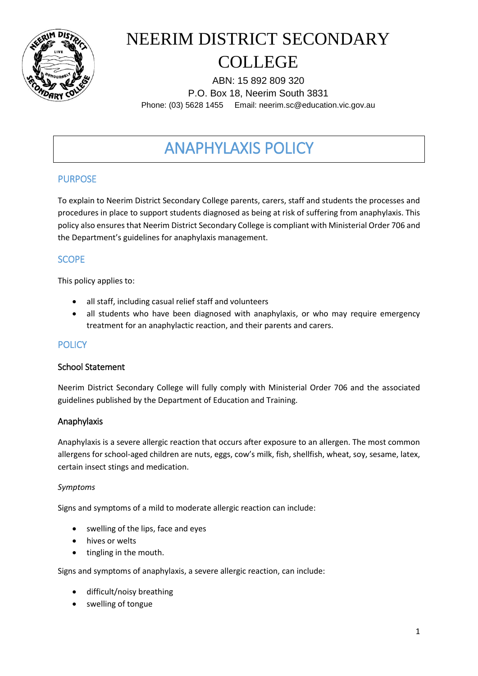

ABN: 15 892 809 320 P.O. Box 18, Neerim South 3831 Phone: (03) 5628 1455 Email: neerim.sc@education.vic.gov.au

## ANAPHYLAXIS POLICY

### PURPOSE

To explain to Neerim District Secondary College parents, carers, staff and students the processes and procedures in place to support students diagnosed as being at risk of suffering from anaphylaxis. This policy also ensures that Neerim District Secondary College is compliant with Ministerial Order 706 and the Department's guidelines for anaphylaxis management.

### **SCOPE**

This policy applies to:

- all staff, including casual relief staff and volunteers
- all students who have been diagnosed with anaphylaxis, or who may require emergency treatment for an anaphylactic reaction, and their parents and carers.

### **POLICY**

#### School Statement

Neerim District Secondary College will fully comply with Ministerial Order 706 and the associated guidelines published by the Department of Education and Training.

#### Anaphylaxis

Anaphylaxis is a severe allergic reaction that occurs after exposure to an allergen. The most common allergens for school-aged children are nuts, eggs, cow's milk, fish, shellfish, wheat, soy, sesame, latex, certain insect stings and medication.

#### *Symptoms*

Signs and symptoms of a mild to moderate allergic reaction can include:

- swelling of the lips, face and eyes
- hives or welts
- tingling in the mouth.

Signs and symptoms of anaphylaxis, a severe allergic reaction, can include:

- difficult/noisy breathing
- swelling of tongue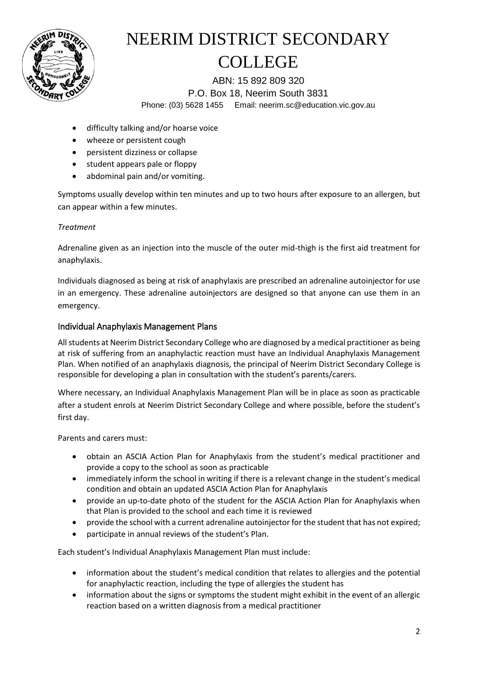

ABN: 15 892 809 320 P.O. Box 18, Neerim South 3831 Phone: (03) 5628 1455 Email: neerim.sc@education.vic.gov.au

- difficulty talking and/or hoarse voice
- wheeze or persistent cough
- persistent dizziness or collapse
- student appears pale or floppy
- abdominal pain and/or vomiting.

Symptoms usually develop within ten minutes and up to two hours after exposure to an allergen, but can appear within a few minutes.

#### *Treatment*

Adrenaline given as an injection into the muscle of the outer mid-thigh is the first aid treatment for anaphylaxis.

Individuals diagnosed as being at risk of anaphylaxis are prescribed an adrenaline autoinjector for use in an emergency. These adrenaline autoinjectors are designed so that anyone can use them in an emergency.

#### Individual Anaphylaxis Management Plans

All students at Neerim District Secondary College who are diagnosed by a medical practitioner as being at risk of suffering from an anaphylactic reaction must have an Individual Anaphylaxis Management Plan. When notified of an anaphylaxis diagnosis, the principal of Neerim District Secondary College is responsible for developing a plan in consultation with the student's parents/carers.

Where necessary, an Individual Anaphylaxis Management Plan will be in place as soon as practicable after a student enrols at Neerim District Secondary College and where possible, before the student's first day.

Parents and carers must:

- obtain an ASCIA Action Plan for Anaphylaxis from the student's medical practitioner and provide a copy to the school as soon as practicable
- immediately inform the school in writing if there is a relevant change in the student's medical condition and obtain an updated ASCIA Action Plan for Anaphylaxis
- provide an up-to-date photo of the student for the ASCIA Action Plan for Anaphylaxis when that Plan is provided to the school and each time it is reviewed
- provide the school with a current adrenaline autoinjector for the student that has not expired;
- participate in annual reviews of the student's Plan.

Each student's Individual Anaphylaxis Management Plan must include:

- information about the student's medical condition that relates to allergies and the potential for anaphylactic reaction, including the type of allergies the student has
- information about the signs or symptoms the student might exhibit in the event of an allergic reaction based on a written diagnosis from a medical practitioner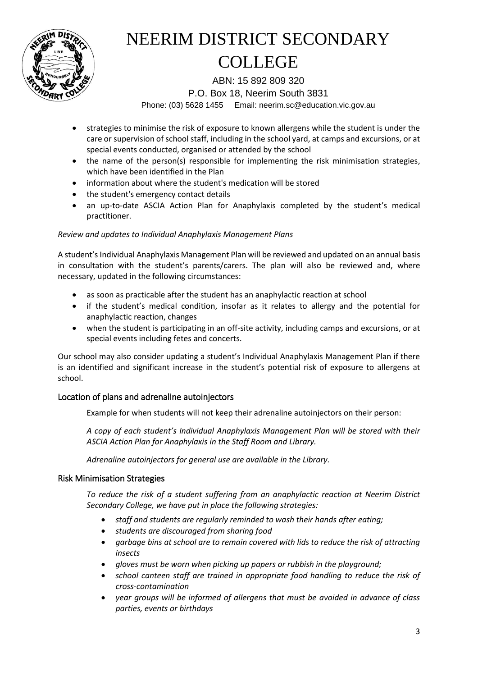

ABN: 15 892 809 320

P.O. Box 18, Neerim South 3831

Phone: (03) 5628 1455 Email: neerim.sc@education.vic.gov.au

- strategies to minimise the risk of exposure to known allergens while the student is under the care or supervision of school staff, including in the school yard, at camps and excursions, or at special events conducted, organised or attended by the school
- the name of the person(s) responsible for implementing the risk minimisation strategies, which have been identified in the Plan
- information about where the student's medication will be stored
- the student's emergency contact details
- an up-to-date ASCIA Action Plan for Anaphylaxis completed by the student's medical practitioner.

#### *Review and updates to Individual Anaphylaxis Management Plans*

A student's Individual Anaphylaxis Management Plan will be reviewed and updated on an annual basis in consultation with the student's parents/carers. The plan will also be reviewed and, where necessary, updated in the following circumstances:

- as soon as practicable after the student has an anaphylactic reaction at school
- if the student's medical condition, insofar as it relates to allergy and the potential for anaphylactic reaction, changes
- when the student is participating in an off-site activity, including camps and excursions, or at special events including fetes and concerts.

Our school may also consider updating a student's Individual Anaphylaxis Management Plan if there is an identified and significant increase in the student's potential risk of exposure to allergens at school.

#### Location of plans and adrenaline autoinjectors

Example for when students will not keep their adrenaline autoinjectors on their person:

*A copy of each student's Individual Anaphylaxis Management Plan will be stored with their ASCIA Action Plan for Anaphylaxis in the Staff Room and Library.*

*Adrenaline autoinjectors for general use are available in the Library.* 

#### Risk Minimisation Strategies

*To reduce the risk of a student suffering from an anaphylactic reaction at Neerim District Secondary College, we have put in place the following strategies:*

- *staff and students are regularly reminded to wash their hands after eating;*
- *students are discouraged from sharing food*
- *garbage bins at school are to remain covered with lids to reduce the risk of attracting insects*
- *gloves must be worn when picking up papers or rubbish in the playground;*
- *school canteen staff are trained in appropriate food handling to reduce the risk of cross-contamination*
- *year groups will be informed of allergens that must be avoided in advance of class parties, events or birthdays*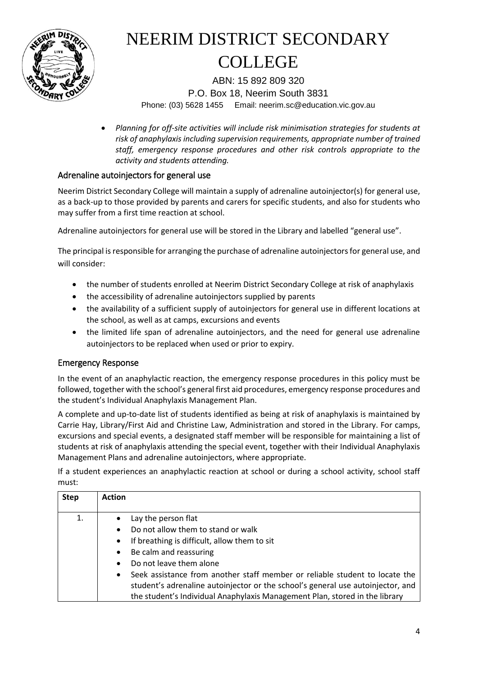

ABN: 15 892 809 320 P.O. Box 18, Neerim South 3831 Phone: (03) 5628 1455 Email: neerim.sc@education.vic.gov.au

 *Planning for off-site activities will include risk minimisation strategies for students at risk of anaphylaxis including supervision requirements, appropriate number of trained staff, emergency response procedures and other risk controls appropriate to the activity and students attending.* 

### Adrenaline autoinjectors for general use

Neerim District Secondary College will maintain a supply of adrenaline autoinjector(s) for general use, as a back-up to those provided by parents and carers for specific students, and also for students who may suffer from a first time reaction at school.

Adrenaline autoinjectors for general use will be stored in the Library and labelled "general use".

The principal is responsible for arranging the purchase of adrenaline autoinjectors for general use, and will consider:

- the number of students enrolled at Neerim District Secondary College at risk of anaphylaxis
- the accessibility of adrenaline autoinjectors supplied by parents
- the availability of a sufficient supply of autoinjectors for general use in different locations at the school, as well as at camps, excursions and events
- the limited life span of adrenaline autoinjectors, and the need for general use adrenaline autoinjectors to be replaced when used or prior to expiry.

#### Emergency Response

In the event of an anaphylactic reaction, the emergency response procedures in this policy must be followed, together with the school's general first aid procedures, emergency response procedures and the student's Individual Anaphylaxis Management Plan.

A complete and up-to-date list of students identified as being at risk of anaphylaxis is maintained by Carrie Hay, Library/First Aid and Christine Law, Administration and stored in the Library. For camps, excursions and special events, a designated staff member will be responsible for maintaining a list of students at risk of anaphylaxis attending the special event, together with their Individual Anaphylaxis Management Plans and adrenaline autoinjectors, where appropriate.

If a student experiences an anaphylactic reaction at school or during a school activity, school staff must:

| <b>Step</b> | <b>Action</b>                                                                                                                                                                                                                                                                                                                             |
|-------------|-------------------------------------------------------------------------------------------------------------------------------------------------------------------------------------------------------------------------------------------------------------------------------------------------------------------------------------------|
| 1.          | Lay the person flat<br>Do not allow them to stand or walk<br>$\bullet$<br>If breathing is difficult, allow them to sit<br>$\bullet$                                                                                                                                                                                                       |
|             | Be calm and reassuring<br>$\bullet$<br>Do not leave them alone<br>$\bullet$<br>Seek assistance from another staff member or reliable student to locate the<br>$\bullet$<br>student's adrenaline autoinjector or the school's general use autoinjector, and<br>the student's Individual Anaphylaxis Management Plan, stored in the library |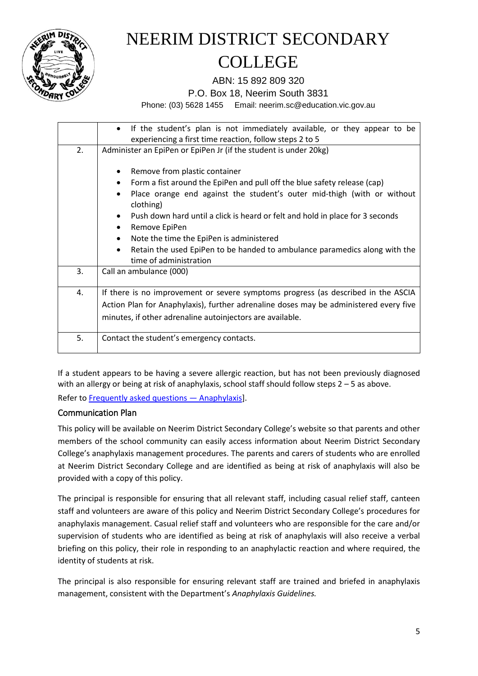

ABN: 15 892 809 320

P.O. Box 18, Neerim South 3831

Phone: (03) 5628 1455 Email: neerim.sc@education.vic.gov.au

|    | If the student's plan is not immediately available, or they appear to be<br>$\bullet$             |
|----|---------------------------------------------------------------------------------------------------|
|    | experiencing a first time reaction, follow steps 2 to 5                                           |
| 2. | Administer an EpiPen or EpiPen Jr (if the student is under 20kg)                                  |
|    | Remove from plastic container<br>$\bullet$                                                        |
|    | Form a fist around the EpiPen and pull off the blue safety release (cap)<br>$\bullet$             |
|    | Place orange end against the student's outer mid-thigh (with or without<br>$\bullet$<br>clothing) |
|    | Push down hard until a click is heard or felt and hold in place for 3 seconds<br>$\bullet$        |
|    | Remove EpiPen<br>$\bullet$                                                                        |
|    | Note the time the EpiPen is administered<br>$\bullet$                                             |
|    | Retain the used EpiPen to be handed to ambulance paramedics along with the<br>$\bullet$           |
|    | time of administration                                                                            |
| 3. | Call an ambulance (000)                                                                           |
| 4. | If there is no improvement or severe symptoms progress (as described in the ASCIA                 |
|    | Action Plan for Anaphylaxis), further adrenaline doses may be administered every five             |
|    | minutes, if other adrenaline autoinjectors are available.                                         |
| 5. | Contact the student's emergency contacts.                                                         |

If a student appears to be having a severe allergic reaction, but has not been previously diagnosed with an allergy or being at risk of anaphylaxis, school staff should follow steps  $2 - 5$  as above.

Refer t[o Frequently asked questions](https://nginx-php-content-policy-det-vic-gov-au-production.lagoon.vicsdp.amazee.io/sites/default/files/2020-03/anaphylaxis-faqs.docx) — Anaphylaxis].

#### Communication Plan

This policy will be available on Neerim District Secondary College's website so that parents and other members of the school community can easily access information about Neerim District Secondary College's anaphylaxis management procedures. The parents and carers of students who are enrolled at Neerim District Secondary College and are identified as being at risk of anaphylaxis will also be provided with a copy of this policy.

The principal is responsible for ensuring that all relevant staff, including casual relief staff, canteen staff and volunteers are aware of this policy and Neerim District Secondary College's procedures for anaphylaxis management. Casual relief staff and volunteers who are responsible for the care and/or supervision of students who are identified as being at risk of anaphylaxis will also receive a verbal briefing on this policy, their role in responding to an anaphylactic reaction and where required, the identity of students at risk.

The principal is also responsible for ensuring relevant staff are trained and briefed in anaphylaxis management, consistent with the Department's *Anaphylaxis Guidelines.*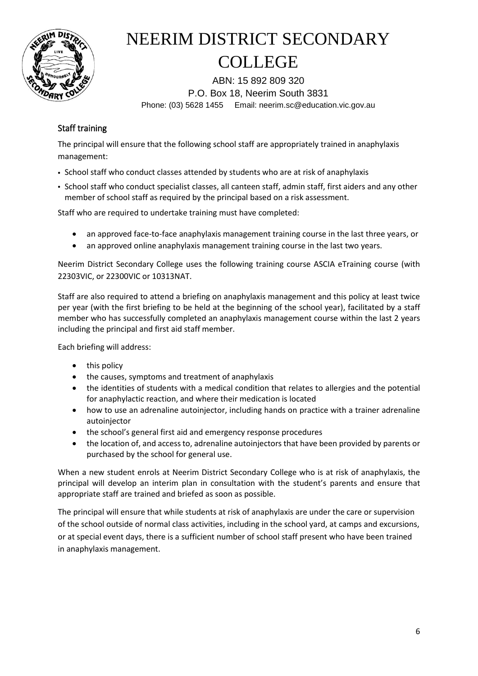

ABN: 15 892 809 320 P.O. Box 18, Neerim South 3831 Phone: (03) 5628 1455 Email: neerim.sc@education.vic.gov.au

### Staff training

The principal will ensure that the following school staff are appropriately trained in anaphylaxis management:

- School staff who conduct classes attended by students who are at risk of anaphylaxis
- School staff who conduct specialist classes, all canteen staff, admin staff, first aiders and any other member of school staff as required by the principal based on a risk assessment.

Staff who are required to undertake training must have completed:

- an approved face-to-face anaphylaxis management training course in the last three years, or
- an approved online anaphylaxis management training course in the last two years.

Neerim District Secondary College uses the following training course ASCIA eTraining course (with 22303VIC, or 22300VIC or 10313NAT.

Staff are also required to attend a briefing on anaphylaxis management and this policy at least twice per year (with the first briefing to be held at the beginning of the school year), facilitated by a staff member who has successfully completed an anaphylaxis management course within the last 2 years including the principal and first aid staff member.

Each briefing will address:

- $\bullet$  this policy
- the causes, symptoms and treatment of anaphylaxis
- the identities of students with a medical condition that relates to allergies and the potential for anaphylactic reaction, and where their medication is located
- how to use an adrenaline autoinjector, including hands on practice with a trainer adrenaline autoinjector
- the school's general first aid and emergency response procedures
- the location of, and access to, adrenaline autoinjectors that have been provided by parents or purchased by the school for general use.

When a new student enrols at Neerim District Secondary College who is at risk of anaphylaxis, the principal will develop an interim plan in consultation with the student's parents and ensure that appropriate staff are trained and briefed as soon as possible.

The principal will ensure that while students at risk of anaphylaxis are under the care or supervision of the school outside of normal class activities, including in the school yard, at camps and excursions, or at special event days, there is a sufficient number of school staff present who have been trained in anaphylaxis management.